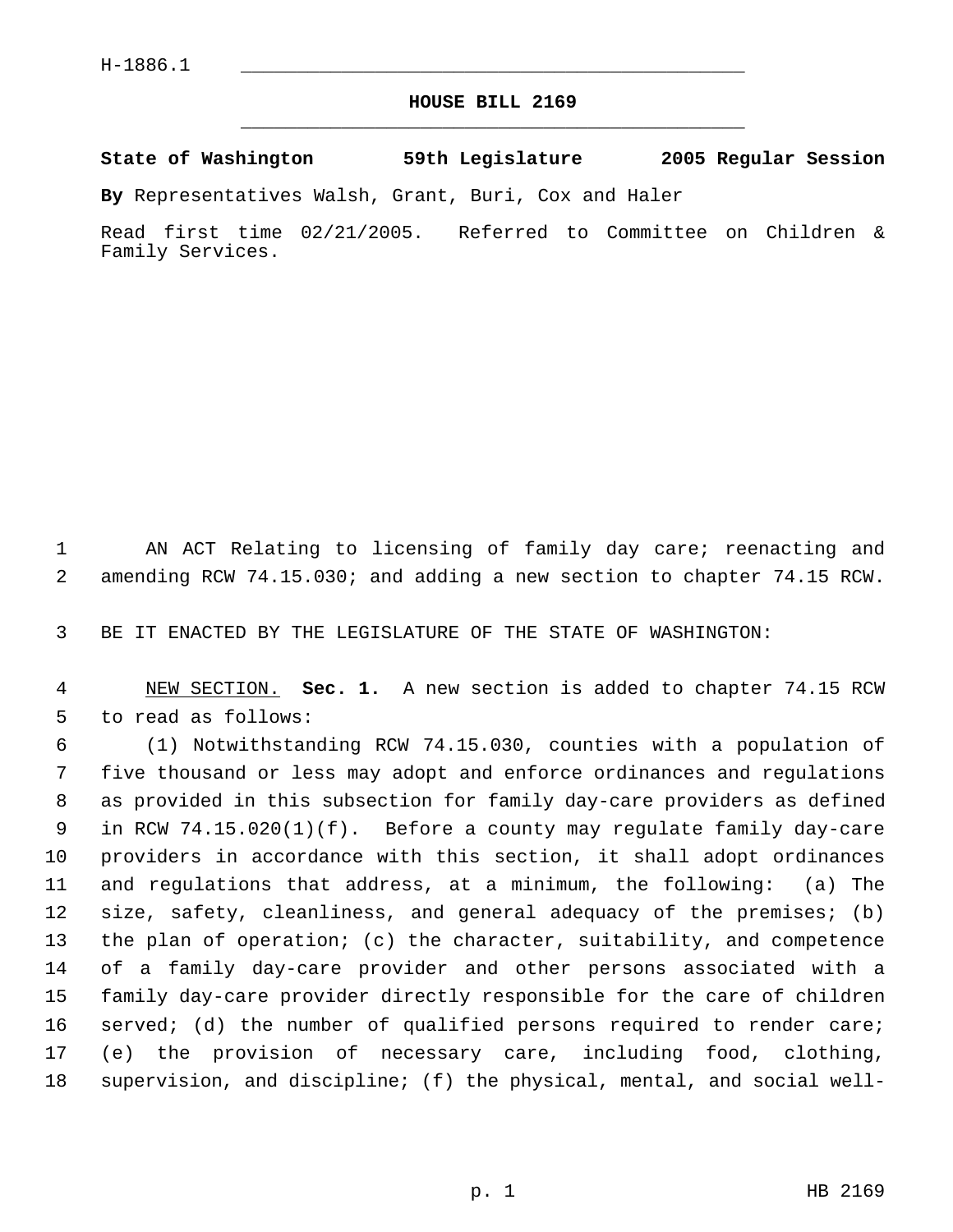## **HOUSE BILL 2169** \_\_\_\_\_\_\_\_\_\_\_\_\_\_\_\_\_\_\_\_\_\_\_\_\_\_\_\_\_\_\_\_\_\_\_\_\_\_\_\_\_\_\_\_\_

**State of Washington 59th Legislature 2005 Regular Session**

**By** Representatives Walsh, Grant, Buri, Cox and Haler

Read first time 02/21/2005. Referred to Committee on Children & Family Services.

 AN ACT Relating to licensing of family day care; reenacting and amending RCW 74.15.030; and adding a new section to chapter 74.15 RCW.

BE IT ENACTED BY THE LEGISLATURE OF THE STATE OF WASHINGTON:

 NEW SECTION. **Sec. 1.** A new section is added to chapter 74.15 RCW to read as follows:

 (1) Notwithstanding RCW 74.15.030, counties with a population of five thousand or less may adopt and enforce ordinances and regulations as provided in this subsection for family day-care providers as defined in RCW 74.15.020(1)(f). Before a county may regulate family day-care providers in accordance with this section, it shall adopt ordinances and regulations that address, at a minimum, the following: (a) The size, safety, cleanliness, and general adequacy of the premises; (b) the plan of operation; (c) the character, suitability, and competence of a family day-care provider and other persons associated with a family day-care provider directly responsible for the care of children 16 served; (d) the number of qualified persons required to render care; (e) the provision of necessary care, including food, clothing, supervision, and discipline; (f) the physical, mental, and social well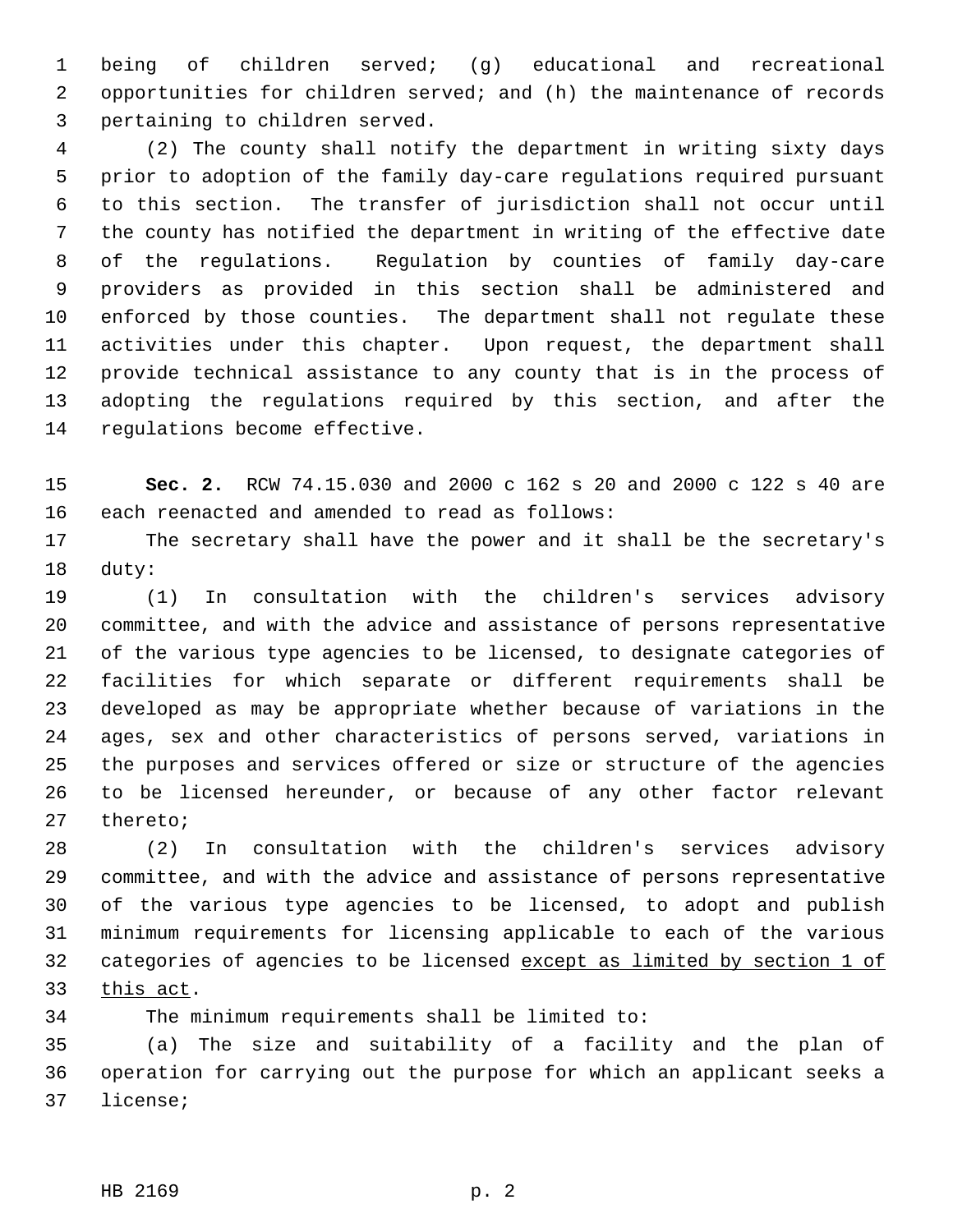being of children served; (g) educational and recreational opportunities for children served; and (h) the maintenance of records pertaining to children served.

 (2) The county shall notify the department in writing sixty days prior to adoption of the family day-care regulations required pursuant to this section. The transfer of jurisdiction shall not occur until the county has notified the department in writing of the effective date of the regulations. Regulation by counties of family day-care providers as provided in this section shall be administered and enforced by those counties. The department shall not regulate these activities under this chapter. Upon request, the department shall provide technical assistance to any county that is in the process of adopting the regulations required by this section, and after the regulations become effective.

 **Sec. 2.** RCW 74.15.030 and 2000 c 162 s 20 and 2000 c 122 s 40 are each reenacted and amended to read as follows:

 The secretary shall have the power and it shall be the secretary's duty:

 (1) In consultation with the children's services advisory committee, and with the advice and assistance of persons representative of the various type agencies to be licensed, to designate categories of facilities for which separate or different requirements shall be developed as may be appropriate whether because of variations in the ages, sex and other characteristics of persons served, variations in the purposes and services offered or size or structure of the agencies to be licensed hereunder, or because of any other factor relevant thereto;

 (2) In consultation with the children's services advisory committee, and with the advice and assistance of persons representative of the various type agencies to be licensed, to adopt and publish minimum requirements for licensing applicable to each of the various 32 categories of agencies to be licensed except as limited by section 1 of this act.

The minimum requirements shall be limited to:

 (a) The size and suitability of a facility and the plan of operation for carrying out the purpose for which an applicant seeks a license;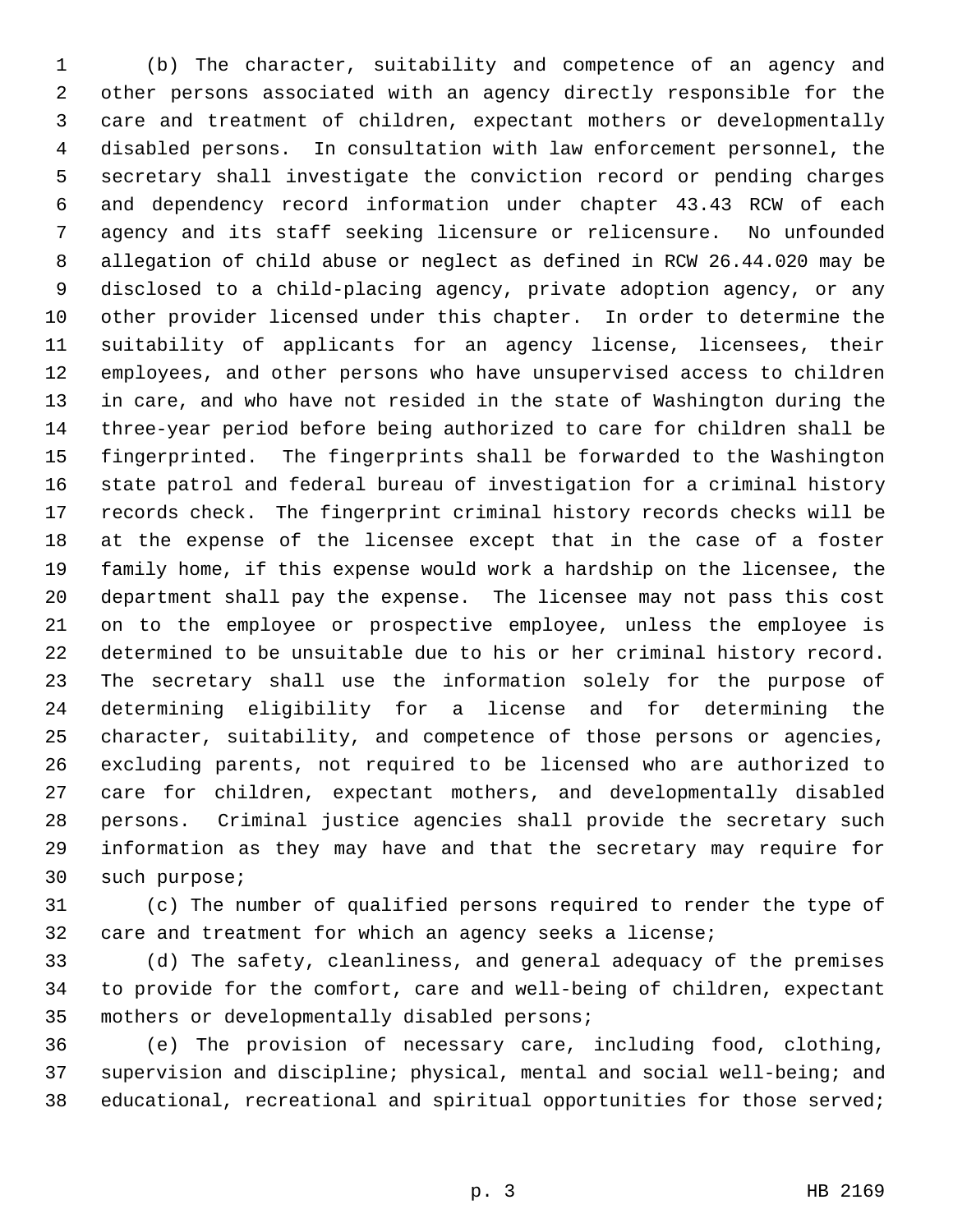(b) The character, suitability and competence of an agency and other persons associated with an agency directly responsible for the care and treatment of children, expectant mothers or developmentally disabled persons. In consultation with law enforcement personnel, the secretary shall investigate the conviction record or pending charges and dependency record information under chapter 43.43 RCW of each agency and its staff seeking licensure or relicensure. No unfounded allegation of child abuse or neglect as defined in RCW 26.44.020 may be disclosed to a child-placing agency, private adoption agency, or any other provider licensed under this chapter. In order to determine the 11 suitability of applicants for an agency license, licensees, their employees, and other persons who have unsupervised access to children in care, and who have not resided in the state of Washington during the three-year period before being authorized to care for children shall be fingerprinted. The fingerprints shall be forwarded to the Washington state patrol and federal bureau of investigation for a criminal history records check. The fingerprint criminal history records checks will be at the expense of the licensee except that in the case of a foster family home, if this expense would work a hardship on the licensee, the department shall pay the expense. The licensee may not pass this cost on to the employee or prospective employee, unless the employee is determined to be unsuitable due to his or her criminal history record. The secretary shall use the information solely for the purpose of determining eligibility for a license and for determining the character, suitability, and competence of those persons or agencies, excluding parents, not required to be licensed who are authorized to care for children, expectant mothers, and developmentally disabled persons. Criminal justice agencies shall provide the secretary such information as they may have and that the secretary may require for such purpose;

 (c) The number of qualified persons required to render the type of care and treatment for which an agency seeks a license;

 (d) The safety, cleanliness, and general adequacy of the premises to provide for the comfort, care and well-being of children, expectant mothers or developmentally disabled persons;

 (e) The provision of necessary care, including food, clothing, supervision and discipline; physical, mental and social well-being; and educational, recreational and spiritual opportunities for those served;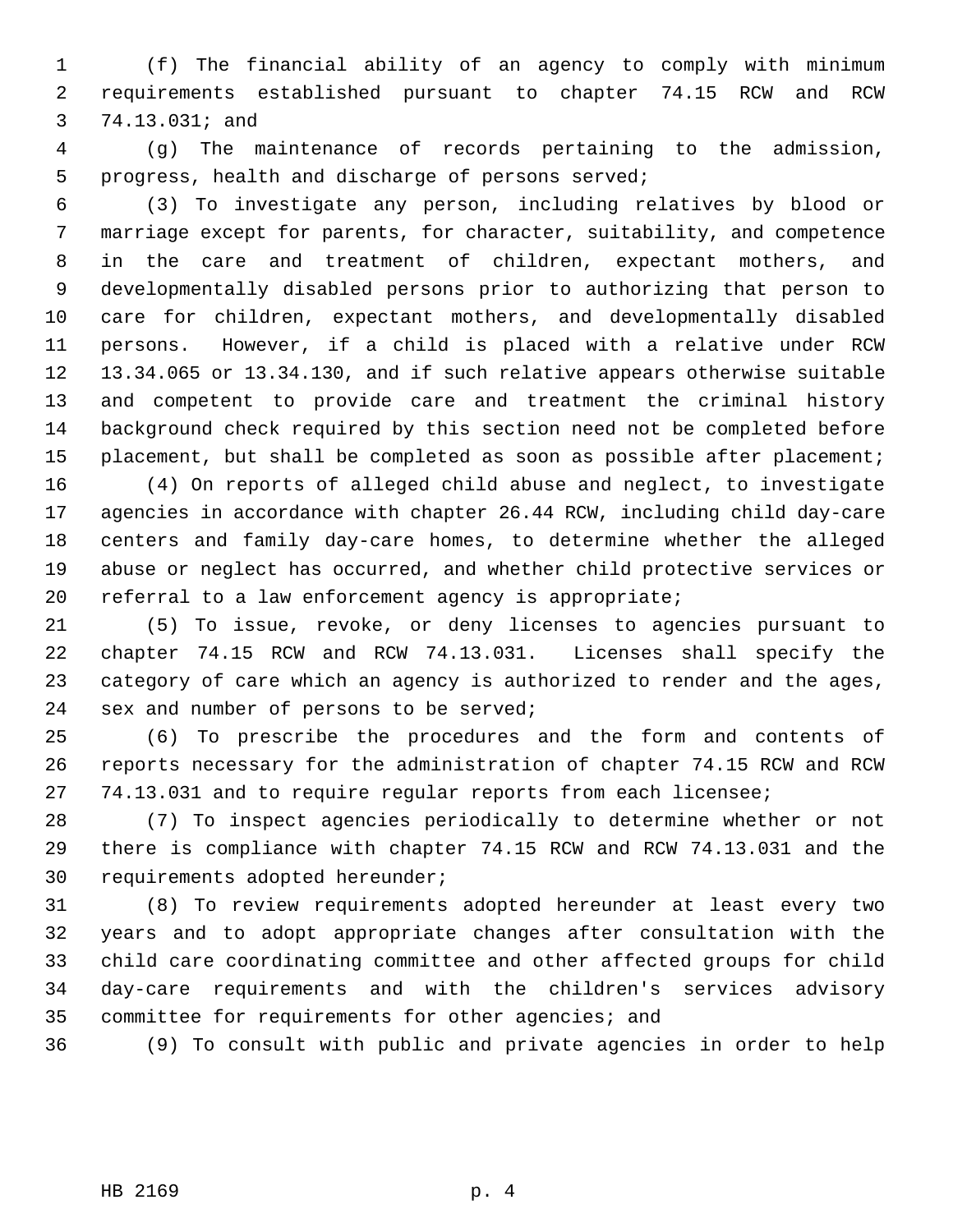(f) The financial ability of an agency to comply with minimum requirements established pursuant to chapter 74.15 RCW and RCW 74.13.031; and

 (g) The maintenance of records pertaining to the admission, progress, health and discharge of persons served;

 (3) To investigate any person, including relatives by blood or marriage except for parents, for character, suitability, and competence in the care and treatment of children, expectant mothers, and developmentally disabled persons prior to authorizing that person to care for children, expectant mothers, and developmentally disabled persons. However, if a child is placed with a relative under RCW 13.34.065 or 13.34.130, and if such relative appears otherwise suitable and competent to provide care and treatment the criminal history background check required by this section need not be completed before placement, but shall be completed as soon as possible after placement;

 (4) On reports of alleged child abuse and neglect, to investigate agencies in accordance with chapter 26.44 RCW, including child day-care centers and family day-care homes, to determine whether the alleged abuse or neglect has occurred, and whether child protective services or 20 referral to a law enforcement agency is appropriate;

 (5) To issue, revoke, or deny licenses to agencies pursuant to chapter 74.15 RCW and RCW 74.13.031. Licenses shall specify the category of care which an agency is authorized to render and the ages, sex and number of persons to be served;

 (6) To prescribe the procedures and the form and contents of reports necessary for the administration of chapter 74.15 RCW and RCW 74.13.031 and to require regular reports from each licensee;

 (7) To inspect agencies periodically to determine whether or not there is compliance with chapter 74.15 RCW and RCW 74.13.031 and the requirements adopted hereunder;

 (8) To review requirements adopted hereunder at least every two years and to adopt appropriate changes after consultation with the child care coordinating committee and other affected groups for child day-care requirements and with the children's services advisory committee for requirements for other agencies; and

(9) To consult with public and private agencies in order to help